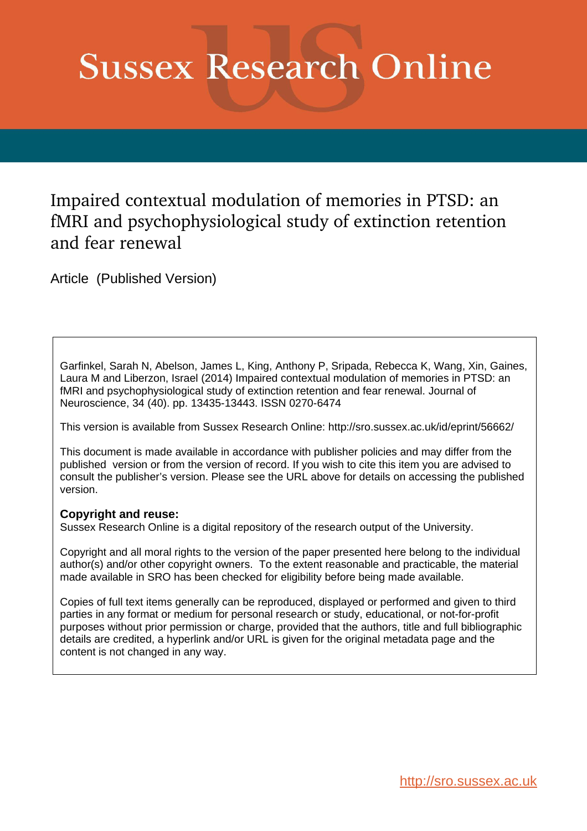# **Sussex Research Online**

Impaired contextual modulation of memories in PTSD: an fMRI and psychophysiological study of extinction retention and fear renewal

Article (Published Version)

Garfinkel, Sarah N, Abelson, James L, King, Anthony P, Sripada, Rebecca K, Wang, Xin, Gaines, Laura M and Liberzon, Israel (2014) Impaired contextual modulation of memories in PTSD: an fMRI and psychophysiological study of extinction retention and fear renewal. Journal of Neuroscience, 34 (40). pp. 13435-13443. ISSN 0270-6474

This version is available from Sussex Research Online: http://sro.sussex.ac.uk/id/eprint/56662/

This document is made available in accordance with publisher policies and may differ from the published version or from the version of record. If you wish to cite this item you are advised to consult the publisher's version. Please see the URL above for details on accessing the published version.

### **Copyright and reuse:**

Sussex Research Online is a digital repository of the research output of the University.

Copyright and all moral rights to the version of the paper presented here belong to the individual author(s) and/or other copyright owners. To the extent reasonable and practicable, the material made available in SRO has been checked for eligibility before being made available.

Copies of full text items generally can be reproduced, displayed or performed and given to third parties in any format or medium for personal research or study, educational, or not-for-profit purposes without prior permission or charge, provided that the authors, title and full bibliographic details are credited, a hyperlink and/or URL is given for the original metadata page and the content is not changed in any way.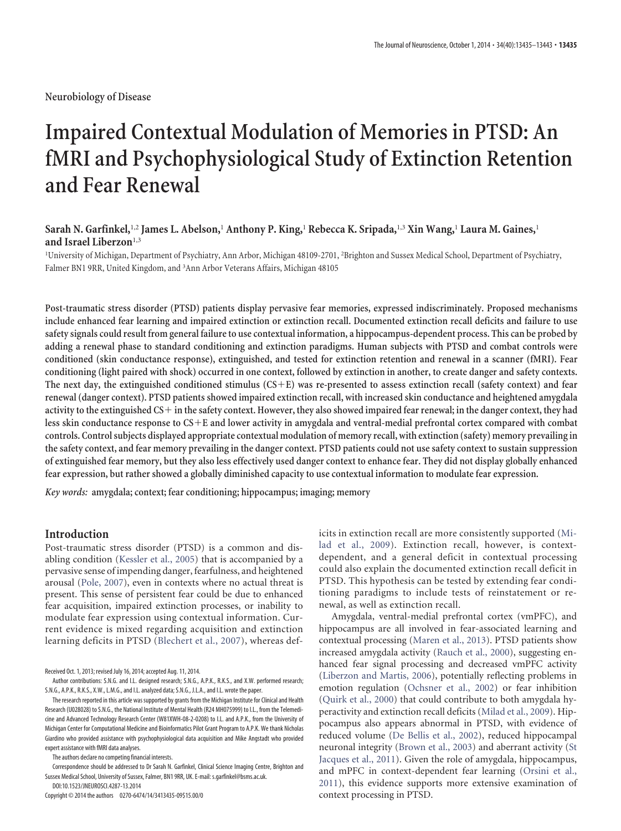**Neurobiology of Disease**

## **Impaired Contextual Modulation of Memories in PTSD: An fMRI and Psychophysiological Study of Extinction Retention and Fear Renewal**

#### **Sarah N. Garfinkel,**1,2 **James L. Abelson,**<sup>1</sup> **Anthony P. King,**<sup>1</sup> **Rebecca K. Sripada,**1,3 **Xin Wang,**<sup>1</sup> **Laura M. Gaines,**<sup>1</sup> **and Israel Liberzon**1,3

1 University of Michigan, Department of Psychiatry, Ann Arbor, Michigan 48109-2701, <sup>2</sup> Brighton and Sussex Medical School, Department of Psychiatry, Falmer BN1 9RR, United Kingdom, and <sup>3</sup> Ann Arbor Veterans Affairs, Michigan 48105

**Post-traumatic stress disorder (PTSD) patients display pervasive fear memories, expressed indiscriminately. Proposed mechanisms include enhanced fear learning and impaired extinction or extinction recall. Documented extinction recall deficits and failure to use safety signals could result from general failure to use contextual information, a hippocampus-dependent process. This can be probed by adding a renewal phase to standard conditioning and extinction paradigms. Human subjects with PTSD and combat controls were conditioned (skin conductance response), extinguished, and tested for extinction retention and renewal in a scanner (fMRI). Fear conditioning (light paired with shock) occurred in one context, followed by extinction in another, to create danger and safety contexts. The next day, the extinguished conditioned stimulus (CS**-**E) was re-presented to assess extinction recall (safety context) and fear renewal (danger context). PTSD patients showed impaired extinction recall, with increased skin conductance and heightened amygdala activity to the extinguished CS**- **in the safety context. However, they also showed impaired fear renewal; in the danger context, they had less skin conductance response to CS**-**E and lower activity in amygdala and ventral-medial prefrontal cortex compared with combat controls. Control subjects displayed appropriate contextual modulation of memory recall, with extinction (safety) memory prevailing in the safety context, and fear memory prevailing in the danger context. PTSD patients could not use safety context to sustain suppression of extinguished fear memory, but they also less effectively used danger context to enhance fear. They did not display globally enhanced fear expression, but rather showed a globally diminished capacity to use contextual information to modulate fear expression.**

*Key words:* **amygdala; context; fear conditioning; hippocampus; imaging; memory**

#### **Introduction**

Post-traumatic stress disorder (PTSD) is a common and disabling condition [\(Kessler et al., 2005\)](#page-9-0) that is accompanied by a pervasive sense of impending danger, fearfulness, and heightened arousal [\(Pole, 2007\)](#page-9-1), even in contexts where no actual threat is present. This sense of persistent fear could be due to enhanced fear acquisition, impaired extinction processes, or inability to modulate fear expression using contextual information. Current evidence is mixed regarding acquisition and extinction learning deficits in PTSD [\(Blechert et al., 2007\)](#page-9-2), whereas def-

Received Oct. 1, 2013; revised July 16, 2014; accepted Aug. 11, 2014.

The authors declare no competing financial interests.

Correspondence should be addressed to Dr Sarah N. Garfinkel, Clinical Science Imaging Centre, Brighton and Sussex Medical School, University of Sussex, Falmer, BN1 9RR, UK. E-mail: [s.garfinkel@bsms.ac.uk.](mailto:s.garfinkel@bsms.ac.uk) DOI:10.1523/JNEUROSCI.4287-13.2014

Copyright © 2014 the authors 0270-6474/14/3413435-09\$15.00/0

icits in extinction recall are more consistently supported [\(Mi](#page-9-3)[lad et al., 2009\)](#page-9-3). Extinction recall, however, is contextdependent, and a general deficit in contextual processing could also explain the documented extinction recall deficit in PTSD. This hypothesis can be tested by extending fear conditioning paradigms to include tests of reinstatement or renewal, as well as extinction recall.

Amygdala, ventral-medial prefrontal cortex (vmPFC), and hippocampus are all involved in fear-associated learning and contextual processing [\(Maren et al., 2013\)](#page-9-4). PTSD patients show increased amygdala activity [\(Rauch et al., 2000\)](#page-9-5), suggesting enhanced fear signal processing and decreased vmPFC activity [\(Liberzon and Martis, 2006\)](#page-9-6), potentially reflecting problems in emotion regulation [\(Ochsner et al., 2002\)](#page-9-7) or fear inhibition [\(Quirk et al., 2000\)](#page-9-8) that could contribute to both amygdala hyperactivity and extinction recall deficits [\(Milad et al., 2009\)](#page-9-3). Hippocampus also appears abnormal in PTSD, with evidence of reduced volume [\(De Bellis et al., 2002\)](#page-9-9), reduced hippocampal neuronal integrity [\(Brown et al., 2003\)](#page-9-10) and aberrant activity [\(St](#page-9-11) [Jacques et al., 2011\)](#page-9-11). Given the role of amygdala, hippocampus, and mPFC in context-dependent fear learning [\(Orsini et al.,](#page-9-12) [2011\)](#page-9-12), this evidence supports more extensive examination of context processing in PTSD.

Author contributions: S.N.G. and I.L. designed research; S.N.G., A.P.K., R.K.S., and X.W. performed research; S.N.G., A.P.K., R.K.S., X.W., L.M.G., and I.L. analyzed data; S.N.G., J.L.A., and I.L. wrote the paper.

The research reported in this article was supported by grants from the Michigan Institute for Clinical and Health Research (U028028) to S.N.G., the National Institute of Mental Health (R24 MH075999) to I.L., from the Telemedicine and Advanced Technology Research Center (W81XWH-08-2-0208) to I.L. and A.P.K., from the University of Michigan Center for Computational Medicine and Bioinformatics Pilot Grant Program to A.P.K. We thank Nicholas Giardino who provided assistance with psychophysiological data acquisition and Mike Angstadt who provided expert assistance with fMRI data analyses.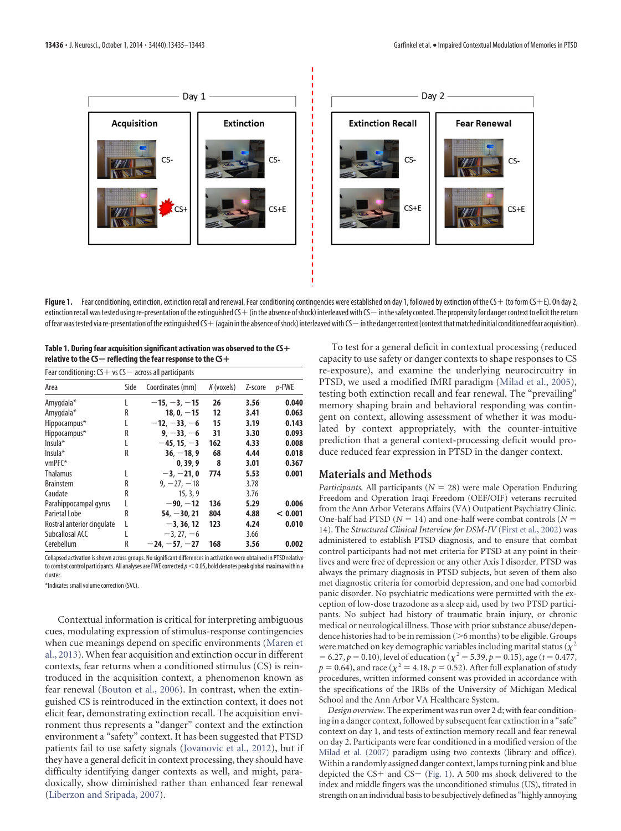

<span id="page-2-0"></span>Figure 1. Fear conditioning, extinction, extinction recall and renewal. Fear conditioning contingencies were established on day 1, followed by extinction of the CS + (to form CS + E). On day 2, extinction recall was tested using re-presentation of the extinguished CS  $+$  (in the absence of shock) interleaved with CS  $-$  in the safety context. The propensity for danger context to elicit the return offearwas tested via re-presentation of the extinguished CS + (again in the absence of shock) interleaved with CS — in the danger context (context that matched initial conditioned fear acquisition).

<span id="page-2-1"></span>

| Table 1. During fear acquisition significant activation was observed to the $\mathsf{C}\mathsf{S}+$ |
|-----------------------------------------------------------------------------------------------------|
| relative to the $\mathsf{CS}-$ reflecting the fear response to the $\mathsf{CS}+$                   |

| Fear conditioning: $CS + vs CS - across all participants$ |      |                  |              |         |          |
|-----------------------------------------------------------|------|------------------|--------------|---------|----------|
| Area                                                      | Side | Coordinates (mm) | $K$ (voxels) | Z-score | $p$ -FWE |
| Amygdala*                                                 |      | $-15, -3, -15$   | 26           | 3.56    | 0.040    |
| Amygdala*                                                 | R    | $18, 0, -15$     | 12           | 3.41    | 0.063    |
| Hippocampus*                                              | L    | $-12, -33, -6$   | 15           | 3.19    | 0.143    |
| Hippocampus*                                              | R    | $9. -33. -6$     | 31           | 3.30    | 0.093    |
| $Insula*$                                                 |      | $-45, 15, -3$    | 162          | 4.33    | 0.008    |
| $Insula*$                                                 | R    | $36. - 18.9$     | 68           | 4.44    | 0.018    |
| $vmPFC*$                                                  |      | 0.39.9           | 8            | 3.01    | 0.367    |
| <b>Thalamus</b>                                           |      | $-3. -21.0$      | 774          | 5.53    | 0.001    |
| <b>Brainstem</b>                                          | R    | $9, -27, -18$    |              | 3.78    |          |
| Caudate                                                   | R    | 15, 3, 9         |              | 3.76    |          |
| Parahippocampal gyrus                                     |      | $-90, -12$       | 136          | 5.29    | 0.006    |
| Parietal Lobe                                             | R    | $54. -30.21$     | 804          | 4.88    | < 0.001  |
| Rostral anterior cingulate                                | L    | $-3.36.12$       | 123          | 4.24    | 0.010    |
| Subcallosal ACC                                           |      | $-3, 27, -6$     |              | 3.66    |          |
| Cerebellum                                                | R    | $-24. -57. -27$  | 168          | 3.56    | 0.002    |

Collapsed activation is shown across groups. No significant differences in activation were obtained in PTSD relative to combat control participants. All analyses are FWE corrected  $p<$  0.05, bold denotes peak global maxima within a cluster.

\*Indicates small volume correction (SVC).

Contextual information is critical for interpreting ambiguous cues, modulating expression of stimulus-response contingencies when cue meanings depend on specific environments [\(Maren et](#page-9-4) [al., 2013\)](#page-9-4).When fear acquisition and extinction occur in different contexts, fear returns when a conditioned stimulus (CS) is reintroduced in the acquisition context, a phenomenon known as fear renewal [\(Bouton et al., 2006\)](#page-9-13). In contrast, when the extinguished CS is reintroduced in the extinction context, it does not elicit fear, demonstrating extinction recall. The acquisition environment thus represents a "danger" context and the extinction environment a "safety" context. It has been suggested that PTSD patients fail to use safety signals [\(Jovanovic et al., 2012\)](#page-9-14), but if they have a general deficit in context processing, they should have difficulty identifying danger contexts as well, and might, paradoxically, show diminished rather than enhanced fear renewal [\(Liberzon and Sripada, 2007\)](#page-9-15).

To test for a general deficit in contextual processing (reduced capacity to use safety or danger contexts to shape responses to CS re-exposure), and examine the underlying neurocircuitry in PTSD, we used a modified fMRI paradigm [\(Milad et al., 2005\)](#page-9-16), testing both extinction recall and fear renewal. The "prevailing" memory shaping brain and behavioral responding was contingent on context, allowing assessment of whether it was modulated by context appropriately, with the counter-intuitive prediction that a general context-processing deficit would produce reduced fear expression in PTSD in the danger context.

#### **Materials and Methods**

*Participants.* All participants ( $N = 28$ ) were male Operation Enduring Freedom and Operation Iraqi Freedom (OEF/OIF) veterans recruited from the Ann Arbor Veterans Affairs (VA) Outpatient Psychiatry Clinic. One-half had PTSD ( $N = 14$ ) and one-half were combat controls ( $N =$ 14). The *Structured Clinical Interview for DSM-IV* [\(First et al., 2002\)](#page-9-17) was administered to establish PTSD diagnosis, and to ensure that combat control participants had not met criteria for PTSD at any point in their lives and were free of depression or any other Axis I disorder. PTSD was always the primary diagnosis in PTSD subjects, but seven of them also met diagnostic criteria for comorbid depression, and one had comorbid panic disorder. No psychiatric medications were permitted with the exception of low-dose trazodone as a sleep aid, used by two PTSD participants. No subject had history of traumatic brain injury, or chronic medical or neurological illness. Those with prior substance abuse/dependence histories had to be in remission  $(>6$  months) to be eligible. Groups were matched on key demographic variables including marital status ( $\tilde{\chi}^2$  $= 6.27, p = 0.10$ ), level of education ( $\chi^2 = 5.39, p = 0.15$ ), age (*t* = 0.477,  $p = 0.64$ ), and race ( $\chi^2 = 4.18, p = 0.52$ ). After full explanation of study procedures, written informed consent was provided in accordance with the specifications of the IRBs of the University of Michigan Medical School and the Ann Arbor VA Healthcare System.

*Design overview.* The experiment was run over 2 d; with fear conditioning in a danger context, followed by subsequent fear extinction in a "safe" context on day 1, and tests of extinction memory recall and fear renewal on day 2. Participants were fear conditioned in a modified version of the [Milad et al. \(2007\)](#page-9-18) paradigm using two contexts (library and office). Within a randomly assigned danger context, lamps turning pink and blue depicted the  $CS+$  and  $CS-$  [\(Fig. 1\)](#page-2-0). A 500 ms shock delivered to the index and middle fingers was the unconditioned stimulus (US), titrated in strength on anindividual basis to be subjectively defined as "highly annoying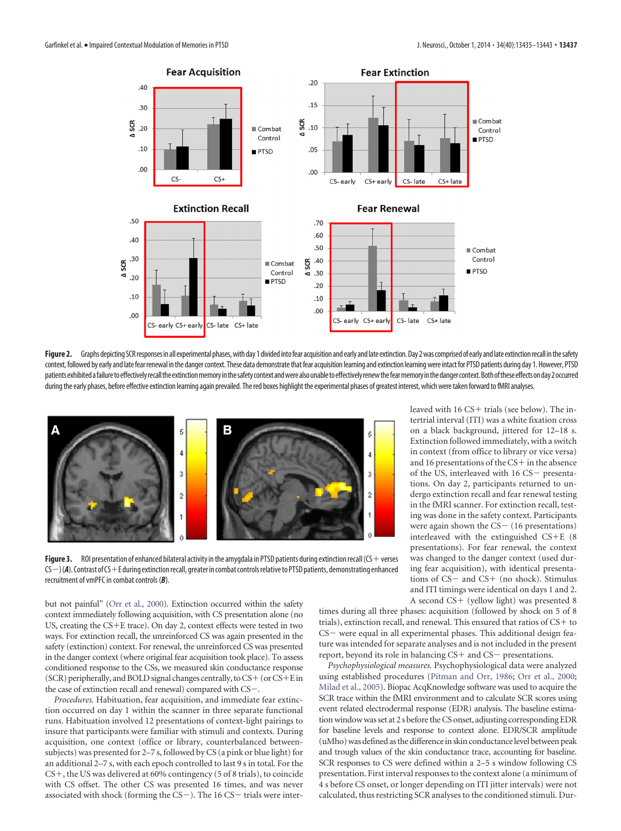

<span id="page-3-0"></span>Figure 2. Graphs depicting SCR responses in all experimental phases, with day 1 divided into fear acquisition and early and late extinction. Day 2 was comprised of early and late extinction recall in the safety context, followed by early and late fear renewal in the danger context. These data demonstrate that fear acquisition learning and extinction learning were intact for PTSD patients during day 1. However, PTSD patients exhibited a failure to effectively recall the extinction memory in the safety context and were also unable to effectively renew the fear memory in the danger context. Both of these effects on day 2 occurred during the early phases, before effective extinction learning again prevailed. The red boxes highlight the experimental phases of greatest interest, which were taken forward to fMRI analyses.



<span id="page-3-1"></span>Figure 3. ROI presentation of enhanced bilateral activity in the amygdala in PTSD patients during extinction recall (CS + verses CS  $-$  ) (**A**). Contrast of CS + E during extinction recall, greater in combat controls relative to PTSD patients, demonstrating enhanced recruitment of vmPFC in combat controls (*B*).

but not painful" [\(Orr et al., 2000\)](#page-9-19). Extinction occurred within the safety context immediately following acquisition, with CS presentation alone (no US, creating the CS-E trace). On day 2, context effects were tested in two ways. For extinction recall, the unreinforced CS was again presented in the safety (extinction) context. For renewal, the unreinforced CS was presented in the danger context (where original fear acquisition took place). To assess conditioned response to the CSs, we measured skin conductance response (SCR) peripherally, and BOLD signal changes centrally, to CS+ (or CS+E in the case of extinction recall and renewal) compared with  $CS-$ .

*Procedures.* Habituation, fear acquisition, and immediate fear extinction occurred on day 1 within the scanner in three separate functional runs. Habituation involved 12 presentations of context-light pairings to insure that participants were familiar with stimuli and contexts. During acquisition, one context (office or library, counterbalanced betweensubjects) was presented for 2–7 s, followed by CS (a pink or blue light) for an additional 2–7 s, with each epoch controlled to last 9 s in total. For the CS<sup>+</sup>, the US was delivered at 60% contingency (5 of 8 trials), to coincide with CS offset. The other CS was presented 16 times, and was never associated with shock (forming the  $CS-$ ). The 16  $CS-$  trials were inter-

leaved with 16 CS+ trials (see below). The intertrial interval (ITI) was a white fixation cross on a black background, jittered for 12–18 s. Extinction followed immediately, with a switch in context (from office to library or vice versa) and 16 presentations of the CS+ in the absence of the US, interleaved with 16 CS- presentations. On day 2, participants returned to undergo extinction recall and fear renewal testing in the fMRI scanner. For extinction recall, testing was done in the safety context. Participants were again shown the  $CS - (16$  presentations) interleaved with the extinguished CS-E (8 presentations). For fear renewal, the context was changed to the danger context (used during fear acquisition), with identical presentations of CS- and CS+ (no shock). Stimulus and ITI timings were identical on days 1 and 2. A second CS+ (yellow light) was presented 8

times during all three phases: acquisition (followed by shock on 5 of 8 trials), extinction recall, and renewal. This ensured that ratios of CS+ to  $CS$  were equal in all experimental phases. This additional design feature was intended for separate analyses and is not included in the present report, beyond its role in balancing CS+ and CS- presentations.

*Psychophysiological measures.* Psychophysiological data were analyzed using established procedures [\(Pitman and Orr, 1986;](#page-9-20) [Orr et al., 2000;](#page-9-19) [Milad et al., 2005\)](#page-9-16). Biopac AcqKnowledge software was used to acquire the SCR trace within the fMRI environment and to calculate SCR scores using event related electrodermal response (EDR) analysis. The baseline estimation window was set at 2 s before the CS onset, adjusting corresponding EDR for baseline levels and response to context alone. EDR/SCR amplitude (uMho) was defined as the difference in skin conductance level between peak and trough values of the skin conductance trace, accounting for baseline. SCR responses to CS were defined within a 2–5 s window following CS presentation. First interval responses to the context alone (a minimum of 4 s before CS onset, or longer depending on ITI jitter intervals) were not calculated, thus restricting SCR analyses to the conditioned stimuli. Dur-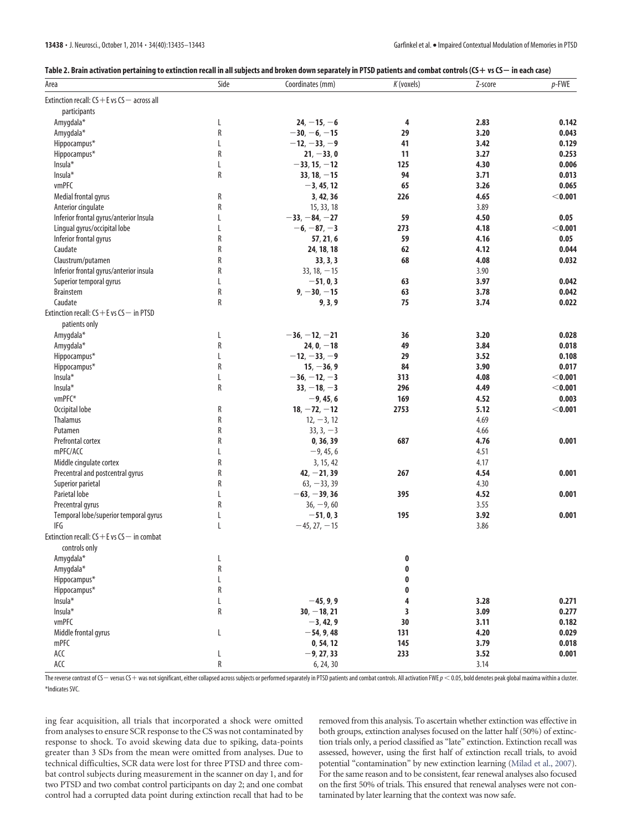<span id="page-4-0"></span>

|  |  | Table 2. Brain activation pertaining to extinction recall in all subjects and broken down separately in PTSD patients and combat controls (CS+ vs CS— in each case) |  |
|--|--|---------------------------------------------------------------------------------------------------------------------------------------------------------------------|--|
|  |  |                                                                                                                                                                     |  |

| Area                                             | Side   | Coordinates (mm) | K (voxels) | Z-score      | $p$ -FWE  |
|--------------------------------------------------|--------|------------------|------------|--------------|-----------|
| Extinction recall: $CS + E$ vs $CS -$ across all |        |                  |            |              |           |
| participants                                     |        |                  |            |              |           |
| Amygdala*                                        | L      | $24, -15, -6$    | 4          | 2.83         | 0.142     |
| Amygdala*                                        | R      | $-30, -6, -15$   | 29         | 3.20         | 0.043     |
| Hippocampus*                                     | L      | $-12, -33, -9$   | 41         | 3.42         | 0.129     |
| Hippocampus*                                     | R      | $21, -33, 0$     | 11         | 3.27         | 0.253     |
| Insula*                                          | L      | $-33, 15, -12$   | 125        | 4.30         | 0.006     |
| Insula*                                          | R      | $33, 18, -15$    | 94         | 3.71         | 0.013     |
| vmPFC                                            |        | $-3, 45, 12$     | 65         | 3.26         | 0.065     |
| Medial frontal gyrus                             | R      | 3, 42, 36        | 226        | 4.65         | $<$ 0.001 |
| Anterior cingulate                               | R      | 15, 33, 18       |            | 3.89         |           |
| Inferior frontal gyrus/anterior Insula           | L      | $-33, -84, -27$  | 59         | 4.50         | 0.05      |
| Lingual gyrus/occipital lobe                     | L      | $-6, -87, -3$    | 273        | 4.18         | $<$ 0.001 |
| Inferior frontal gyrus                           | R      | 57, 21, 6        | 59         | 4.16         | 0.05      |
| Caudate                                          | R      | 24, 18, 18       | 62         | 4.12         | 0.044     |
| Claustrum/putamen                                | R      | 33, 3, 3         | 68         | 4.08         | 0.032     |
| Inferior frontal gyrus/anterior insula           | R      | $33, 18, -15$    |            | 3.90         |           |
| Superior temporal gyrus                          | L      | $-51, 0, 3$      | 63         | 3.97         | 0.042     |
| <b>Brainstem</b>                                 | R      | $9, -30, -15$    | 63         | 3.78         | 0.042     |
| Caudate                                          | R      | 9, 3, 9          | 75         | 3.74         | 0.022     |
| Extinction recall: $CS + E$ vs $CS -$ in PTSD    |        |                  |            |              |           |
| patients only                                    |        |                  |            |              |           |
| Amygdala*                                        | L      | $-36, -12, -21$  | 36         | 3.20         | 0.028     |
| Amygdala*                                        | R      | $24, 0, -18$     | 49         | 3.84         | 0.018     |
| Hippocampus*                                     | L      | $-12, -33, -9$   | 29         | 3.52         | 0.108     |
| Hippocampus*                                     | R      | $15, -36, 9$     | 84         | 3.90         | 0.017     |
| Insula*                                          | L      | $-36, -12, -3$   | 313        | 4.08         | $<$ 0.001 |
| Insula*                                          | R      | $33, -18, -3$    | 296        | 4.49         | $<$ 0.001 |
| vmPFC*                                           |        | $-9, 45, 6$      | 169        | 4.52         | 0.003     |
| Occipital lobe                                   | R      | $18, -72, -12$   | 2753       | 5.12         | $<$ 0.001 |
| Thalamus                                         | R      | $12, -3, 12$     |            | 4.69         |           |
| Putamen                                          | R      | $33, 3, -3$      |            | 4.66         |           |
| Prefrontal cortex                                | R      |                  | 687        | 4.76         | 0.001     |
|                                                  |        | 0, 36, 39        |            |              |           |
| mPFC/ACC                                         | L<br>R | $-9, 45, 6$      |            | 4.51<br>4.17 |           |
| Middle cingulate cortex                          |        | 3, 15, 42        |            |              |           |
| Precentral and postcentral gyrus                 | R      | $42, -21, 39$    | 267        | 4.54         | 0.001     |
| Superior parietal                                | R      | $63, -33, 39$    |            | 4.30         |           |
| Parietal lobe                                    | L      | $-63, -39, 36$   | 395        | 4.52         | 0.001     |
| Precentral gyrus                                 | R      | $36, -9, 60$     |            | 3.55         |           |
| Temporal lobe/superior temporal gyrus            | L      | $-51.0.3$        | 195        | 3.92         | 0.001     |
| IFG                                              | L      | $-45, 27, -15$   |            | 3.86         |           |
| Extinction recall: $CS + E$ vs $CS -$ in combat  |        |                  |            |              |           |
| controls only                                    |        |                  |            |              |           |
| Amygdala*                                        | L      |                  | 0          |              |           |
| Amygdala*                                        | R      |                  | 0          |              |           |
| Hippocampus*                                     | L      |                  | 0          |              |           |
| Hippocampus*                                     | R      |                  | 0          |              |           |
| Insula*                                          | L      | $-45, 9, 9$      | 4          | 3.28         | 0.271     |
| Insula*                                          | R      | $30, -18, 21$    | 3          | 3.09         | 0.277     |
| vmPFC                                            |        | $-3, 42, 9$      | 30         | 3.11         | 0.182     |
| Middle frontal gyrus                             | L      | $-54, 9, 48$     | 131        | 4.20         | 0.029     |
| mPFC                                             |        | 0, 54, 12        | 145        | 3.79         | 0.018     |
| $\mathsf{ACC}$                                   | L      | $-9, 27, 33$     | 233        | 3.52         | 0.001     |
| ACC                                              | R      | 6, 24, 30        |            | 3.14         |           |

The reverse contrast of CS — versus CS + was not significant, either collapsed across subjects or performed separately in PTSD patients and combat controls. All activation FWE  $p < 0.05$ , bold denotes peak global maxima wi \*Indicates SVC.

ing fear acquisition, all trials that incorporated a shock were omitted from analyses to ensure SCR response to the CS was not contaminated by response to shock. To avoid skewing data due to spiking, data-points greater than 3 SDs from the mean were omitted from analyses. Due to technical difficulties, SCR data were lost for three PTSD and three combat control subjects during measurement in the scanner on day 1, and for two PTSD and two combat control participants on day 2; and one combat control had a corrupted data point during extinction recall that had to be

removed from this analysis. To ascertain whether extinction was effective in both groups, extinction analyses focused on the latter half (50%) of extinction trials only, a period classified as "late" extinction. Extinction recall was assessed, however, using the first half of extinction recall trials, to avoid potential "contamination" by new extinction learning [\(Milad et al., 2007\)](#page-9-18). For the same reason and to be consistent, fear renewal analyses also focused on the first 50% of trials. This ensured that renewal analyses were not contaminated by later learning that the context was now safe.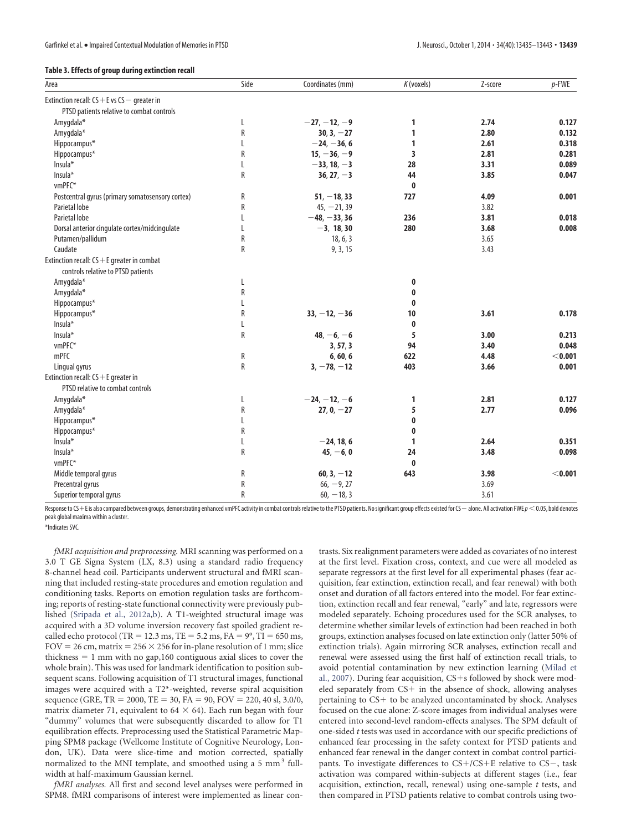#### <span id="page-5-0"></span>**Table 3. Effects of group during extinction recall**

| Area                                             | Side        | Coordinates (mm) | K (voxels) | Z-score | $p$ -FWE  |
|--------------------------------------------------|-------------|------------------|------------|---------|-----------|
| Extinction recall: $CS + E$ vs $CS -$ greater in |             |                  |            |         |           |
| PTSD patients relative to combat controls        |             |                  |            |         |           |
| Amygdala*                                        | L           | $-27, -12, -9$   | 1          | 2.74    | 0.127     |
| Amygdala*                                        | R           | $30, 3, -27$     | 1          | 2.80    | 0.132     |
| Hippocampus*                                     |             | $-24, -36, 6$    | 1          | 2.61    | 0.318     |
| Hippocampus*                                     | R           | $15, -36, -9$    | 3          | 2.81    | 0.281     |
| Insula*                                          |             | $-33, 18, -3$    | 28         | 3.31    | 0.089     |
| Insula*                                          | R           | $36, 27, -3$     | 44         | 3.85    | 0.047     |
| vmPFC*                                           |             |                  | 0          |         |           |
| Postcentral gyrus (primary somatosensory cortex) | R           | $51, -18, 33$    | 727        | 4.09    | 0.001     |
| Parietal lobe                                    | R           | $45, -21, 39$    |            | 3.82    |           |
| Parietal lobe                                    | L           | $-48, -33, 36$   | 236        | 3.81    | 0.018     |
| Dorsal anterior cingulate cortex/midcingulate    | L           | $-3, 18, 30$     | 280        | 3.68    | 0.008     |
| Putamen/pallidum                                 | R           | 18, 6, 3         |            | 3.65    |           |
| Caudate                                          | R           | 9, 3, 15         |            | 3.43    |           |
| Extinction recall: $CS + E$ greater in combat    |             |                  |            |         |           |
| controls relative to PTSD patients               |             |                  |            |         |           |
| Amygdala*                                        | L           |                  | 0          |         |           |
| Amygdala*                                        | R           |                  | 0          |         |           |
| Hippocampus*                                     | $\mathsf L$ |                  | 0          |         |           |
| Hippocampus*                                     | R           | $33, -12, -36$   | 10         | 3.61    | 0.178     |
| Insula*                                          | L           |                  | $\bf{0}$   |         |           |
| Insula*                                          | R           | $48, -6, -6$     | 5          | 3.00    | 0.213     |
| vmPFC*                                           |             | 3, 57, 3         | 94         | 3.40    | 0.048     |
| mPFC                                             | R           | 6, 60, 6         | 622        | 4.48    | < 0.001   |
| Lingual gyrus                                    | R           | $3, -78, -12$    | 403        | 3.66    | 0.001     |
| Extinction recall: $CS + E$ greater in           |             |                  |            |         |           |
| PTSD relative to combat controls                 |             |                  |            |         |           |
| Amygdala*                                        | L           | $-24, -12, -6$   | 1          | 2.81    | 0.127     |
| Amygdala*                                        | R           | $27, 0, -27$     | 5          | 2.77    | 0.096     |
| Hippocampus*                                     | L           |                  | 0          |         |           |
| Hippocampus*                                     | R           |                  | 0          |         |           |
| Insula*                                          | L           | $-24, 18, 6$     | 1          | 2.64    | 0.351     |
| Insula*                                          | R           | $45, -6, 0$      | 24         | 3.48    | 0.098     |
| vmPFC*                                           |             |                  | 0          |         |           |
| Middle temporal gyrus                            | R           | $60, 3, -12$     | 643        | 3.98    | $<$ 0.001 |
| Precentral gyrus                                 | R           | $66, -9, 27$     |            | 3.69    |           |
| Superior temporal gyrus                          | R           | $60, -18, 3$     |            | 3.61    |           |

Response to CS+E is also compared between groups, demonstrating enhanced vmPFC activity in combat controls relative to the PTSD patients. No significant group effects existed for CS — alone. All activation FWE  $\rho$   $<$  0. peak global maxima within a cluster.

\*Indicates SVC.

*fMRI acquisition and preprocessing.* MRI scanning was performed on a 3.0 T GE Signa System (LX, 8.3) using a standard radio frequency 8-channel head coil. Participants underwent structural and fMRI scanning that included resting-state procedures and emotion regulation and conditioning tasks. Reports on emotion regulation tasks are forthcoming; reports of resting-state functional connectivity were previously published [\(Sripada et al., 2012a,](#page-9-21)[b\)](#page-9-22). A T1-weighted structural image was acquired with a 3D volume inversion recovery fast spoiled gradient recalled echo protocol (TR = 12.3 ms, TE = 5.2 ms, FA =  $9^{\circ}$ , TI = 650 ms,  $FOV = 26$  cm, matrix =  $256 \times 256$  for in-plane resolution of 1 mm; slice thickness  $= 1$  mm with no gap,160 contiguous axial slices to cover the whole brain). This was used for landmark identification to position subsequent scans. Following acquisition of T1 structural images, functional images were acquired with a T2\*-weighted, reverse spiral acquisition sequence (GRE,  $TR = 2000$ ,  $TE = 30$ ,  $FA = 90$ ,  $FOV = 220$ ,  $40$  sl,  $3.0/0$ , matrix diameter 71, equivalent to 64  $\times$  64). Each run began with four "dummy" volumes that were subsequently discarded to allow for T1 equilibration effects. Preprocessing used the Statistical Parametric Mapping SPM8 package (Wellcome Institute of Cognitive Neurology, London, UK). Data were slice-time and motion corrected, spatially normalized to the MNI template, and smoothed using a 5 mm<sup>3</sup> fullwidth at half-maximum Gaussian kernel.

*fMRI analyses.* All first and second level analyses were performed in SPM8. fMRI comparisons of interest were implemented as linear contrasts. Six realignment parameters were added as covariates of no interest at the first level. Fixation cross, context, and cue were all modeled as separate regressors at the first level for all experimental phases (fear acquisition, fear extinction, extinction recall, and fear renewal) with both onset and duration of all factors entered into the model. For fear extinction, extinction recall and fear renewal, "early" and late, regressors were modeled separately. Echoing procedures used for the SCR analyses, to determine whether similar levels of extinction had been reached in both groups, extinction analyses focused on late extinction only (latter 50% of extinction trials). Again mirroring SCR analyses, extinction recall and renewal were assessed using the first half of extinction recall trials, to avoid potential contamination by new extinction learning [\(Milad et](#page-9-18) [al., 2007\)](#page-9-18). During fear acquisition, CS+s followed by shock were modeled separately from CS+ in the absence of shock, allowing analyses pertaining to CS+ to be analyzed uncontaminated by shock. Analyses focused on the cue alone: Z-score images from individual analyses were entered into second-level random-effects analyses. The SPM default of one-sided *t* tests was used in accordance with our specific predictions of enhanced fear processing in the safety context for PTSD patients and enhanced fear renewal in the danger context in combat control participants. To investigate differences to CS+/CS+E relative to CS-, task activation was compared within-subjects at different stages (i.e., fear acquisition, extinction, recall, renewal) using one-sample *t* tests, and then compared in PTSD patients relative to combat controls using two-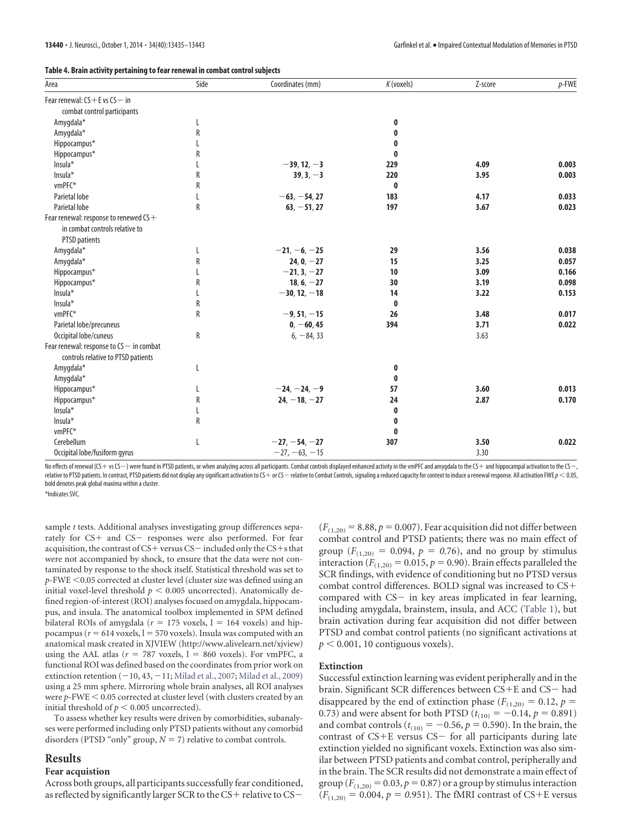<span id="page-6-0"></span>

| Area                                                 | Side | Coordinates (mm) | K (voxels)   | Z-score | $p$ -FWE |
|------------------------------------------------------|------|------------------|--------------|---------|----------|
| Fear renewal: $CS + E$ vs $CS - in$                  |      |                  |              |         |          |
| combat control participants                          |      |                  |              |         |          |
| Amygdala*                                            | L    |                  | 0            |         |          |
| Amygdala*                                            | R    |                  | 0            |         |          |
| Hippocampus*                                         |      |                  | 0            |         |          |
| Hippocampus*                                         | R    |                  | 0            |         |          |
| Insula*                                              |      | $-39, 12, -3$    | 229          | 4.09    | 0.003    |
| Insula*                                              | R    | $39, 3, -3$      | 220          | 3.95    | 0.003    |
| vmPFC*                                               | R    |                  | $\mathbf{0}$ |         |          |
| Parietal lobe                                        |      | $-63, -54, 27$   | 183          | 4.17    | 0.033    |
| Parietal lobe                                        | R    | $63, -51, 27$    | 197          | 3.67    | 0.023    |
| Fear renewal: response to renewed $\mathsf{CS}\!+\!$ |      |                  |              |         |          |
| in combat controls relative to                       |      |                  |              |         |          |
| <b>PTSD</b> patients                                 |      |                  |              |         |          |
| Amygdala*                                            |      | $-21, -6, -25$   | 29           | 3.56    | 0.038    |
| Amygdala*                                            | R    | $24, 0, -27$     | 15           | 3.25    | 0.057    |
| Hippocampus*                                         |      | $-21, 3, -27$    | 10           | 3.09    | 0.166    |
| Hippocampus*                                         | R    | $18, 6, -27$     | 30           | 3.19    | 0.098    |
| Insula*                                              |      | $-30, 12, -18$   | 14           | 3.22    | 0.153    |
| Insula*                                              | R    |                  | $\mathbf{0}$ |         |          |
| vmPFC*                                               | R    | $-9, 51, -15$    | 26           | 3.48    | 0.017    |
| Parietal lobe/precuneus                              |      | $0, -60, 45$     | 394          | 3.71    | 0.022    |
| Occipital lobe/cuneus                                | R    | $6, -84, 33$     |              | 3.63    |          |
| Fear renewal: response to CS - in combat             |      |                  |              |         |          |
| controls relative to PTSD patients                   |      |                  |              |         |          |
| Amygdala*                                            | L    |                  | 0            |         |          |
| Amygdala*                                            |      |                  | 0            |         |          |
| Hippocampus*                                         |      | $-24, -24, -9$   | 57           | 3.60    | 0.013    |
| Hippocampus*                                         | R    | $24, -18, -27$   | 24           | 2.87    | 0.170    |
| Insula*                                              |      |                  | 0            |         |          |
| Insula*                                              | R    |                  | 0            |         |          |
| vmPFC*                                               |      |                  | 0            |         |          |
| Cerebellum                                           | L    | $-27, -54, -27$  | 307          | 3.50    | 0.022    |

No effects of renewal (CS+vs CS-) were found in PTSD patients, or when analyzing across all participants. Combat controls displayed enhanced activity in the vmPFC and amygdala to the CS+ and hippocampal activation to the relative to PTSD patients. In contrast, PTSD patients did not display any significant activation to CS  $+$  or CS  $-$  relative to Combat Controls, signaling a reduced capacity for context to induce a renewal response. All bold denotes peak global maxima within a cluster.

Occipital lobe/fusiform gyrus  $-27, -63, -15$  3.30

\*Indicates SVC.

sample *t* tests. Additional analyses investigating group differences separately for CS+ and CS- responses were also performed. For fear acquisition, the contrast of CS+ versus CS $-$  included only the CS+s that were not accompanied by shock, to ensure that the data were not contaminated by response to the shock itself. Statistical threshold was set to *p*-FWE 0.05 corrected at cluster level (cluster size was defined using an initial voxel-level threshold  $p < 0.005$  uncorrected). Anatomically defined region-of-interest (ROI) analyses focused on amygdala, hippocampus, and insula. The anatomical toolbox implemented in SPM defined bilateral ROIs of amygdala ( $r = 175$  voxels,  $l = 164$  voxels) and hippocampus ( $r = 614$  voxels,  $l = 570$  voxels). Insula was computed with an anatomical mask created in XJVIEW [\(http://www.alivelearn.net/xjview\)](http://www.alivelearn.net/xjview) using the AAL atlas ( $r = 787$  voxels,  $l = 860$  voxels). For vmPFC, a functional ROI was defined based on the coordinates from prior work on extinction retention  $(-10, 43, -11;$  [Milad et al., 2007;](#page-9-18) [Milad et al., 2009\)](#page-9-3) using a 25 mm sphere. Mirroring whole brain analyses, all ROI analyses were *p*-FWE < 0.05 corrected at cluster level (with clusters created by an initial threshold of  $p < 0.005$  uncorrected).

To assess whether key results were driven by comorbidities, subanalyses were performed including only PTSD patients without any comorbid disorders (PTSD "only" group,  $N = 7$ ) relative to combat controls.

#### **Results**

#### **Fear acquistion**

Across both groups, all participants successfully fear conditioned, as reflected by significantly larger SCR to the  $CS+$  relative to  $CS-$   $(F<sub>(1,20)</sub> = 8.88, p = 0.007)$ . Fear acquisition did not differ between combat control and PTSD patients; there was no main effect of group ( $F_{(1,20)} = 0.094$ ,  $p = 0.76$ ), and no group by stimulus interaction ( $F_{(1,20)} = 0.015$ ,  $p = 0.90$ ). Brain effects paralleled the SCR findings, with evidence of conditioning but no PTSD versus combat control differences. BOLD signal was increased to CS compared with  $CS$  in key areas implicated in fear learning, including amygdala, brainstem, insula, and ACC [\(Table 1\)](#page-2-1), but brain activation during fear acquisition did not differ between PTSD and combat control patients (no significant activations at  $p < 0.001$ , 10 contiguous voxels).

#### **Extinction**

Successful extinction learning was evident peripherally and in the brain. Significant SCR differences between CS+E and CS- had disappeared by the end of extinction phase ( $F_{(1,20)} = 0.12$ ,  $p =$ 0.73) and were absent for both PTSD  $(t_{(10)} = -0.14, p = 0.891)$ and combat controls ( $t_{(10)} = -0.56$ ,  $p = 0.590$ ). In the brain, the contrast of  $CS+E$  versus  $CS-$  for all participants during late extinction yielded no significant voxels. Extinction was also similar between PTSD patients and combat control, peripherally and in the brain. The SCR results did not demonstrate a main effect of group ( $F_{(1,20)} = 0.03$ ,  $p = 0.87$ ) or a group by stimulus interaction  $(F_{(1,20)} = 0.004, p = 0.951)$ . The fMRI contrast of CS+E versus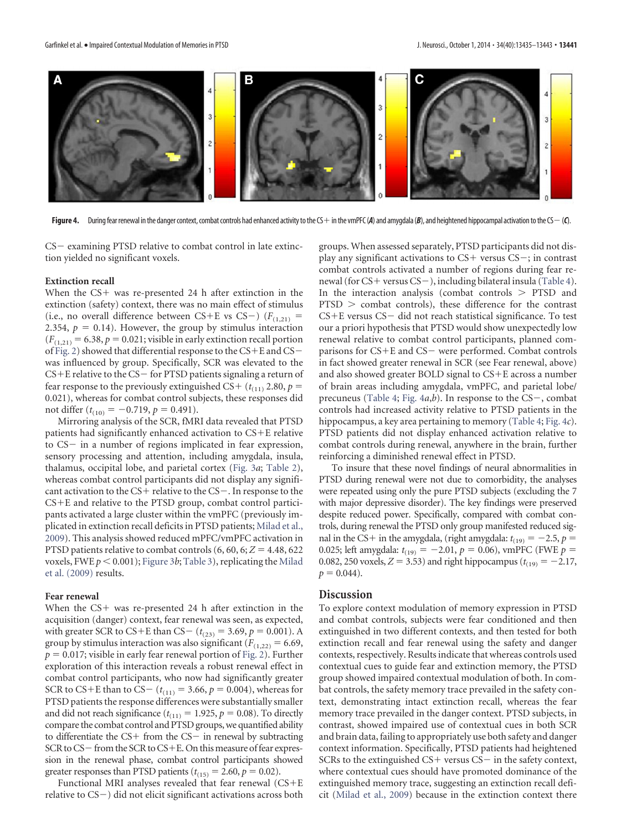

<span id="page-7-0"></span>Figure 4. During fear renewal in the danger context, combat controls had enhanced activity to the CS+ in the vmPFC (A) and amygdala (B), and heightened hippocampal activation to the CS- (C).

 $CS$  examining PTSD relative to combat control in late extinction yielded no significant voxels.

#### **Extinction recall**

When the CS+ was re-presented 24 h after extinction in the extinction (safety) context, there was no main effect of stimulus (i.e., no overall difference between CS+E vs CS-)  $(F_{(1,21)} =$ 2.354,  $p = 0.14$ ). However, the group by stimulus interaction  $(F<sub>(1,21)</sub> = 6.38, p = 0.021$ ; visible in early extinction recall portion of [Fig. 2\)](#page-3-0) showed that differential response to the CS-E and CS was influenced by group. Specifically, SCR was elevated to the  $CS+E$  relative to the  $CS-$  for PTSD patients signaling a return of fear response to the previously extinguished CS+  $(t_{(11)}$  2.80,  $p =$ 0.021), whereas for combat control subjects, these responses did not differ  $(t_{(10)} = -0.719, p = 0.491)$ .

Mirroring analysis of the SCR, fMRI data revealed that PTSD patients had significantly enhanced activation to CS-E relative to  $CS$  in a number of regions implicated in fear expression, sensory processing and attention, including amygdala, insula, thalamus, occipital lobe, and parietal cortex [\(Fig. 3](#page-3-1)*a*; [Table 2\)](#page-4-0), whereas combat control participants did not display any significant activation to the  $CS+$  relative to the  $CS-$ . In response to the CS-E and relative to the PTSD group, combat control participants activated a large cluster within the vmPFC (previously implicated in extinction recall deficits in PTSD patients; [Milad et al.,](#page-9-3) [2009\)](#page-9-3). This analysis showed reduced mPFC/vmPFC activation in PTSD patients relative to combat controls  $(6, 60, 6; Z = 4.48, 622)$ voxels, FWE  $p < 0.001$ ; [Figure 3](#page-3-1)b; [Table 3\)](#page-5-0), replicating the [Milad](#page-9-3) [et al. \(2009\)](#page-9-3) results.

#### **Fear renewal**

When the CS+ was re-presented 24 h after extinction in the acquisition (danger) context, fear renewal was seen, as expected, with greater SCR to CS+E than CS-  $(t_{(23)} = 3.69, p = 0.001)$ . A group by stimulus interaction was also significant  $(F_{(1,22)} = 6.69,$  $p = 0.017$ ; visible in early fear renewal portion of [Fig. 2\)](#page-3-0). Further exploration of this interaction reveals a robust renewal effect in combat control participants, who now had significantly greater SCR to CS+E than to CS- ( $t_{(11)} = 3.66$ ,  $p = 0.004$ ), whereas for PTSD patients the response differences were substantially smaller and did not reach significance  $(t_{(11)} = 1.925, p = 0.08)$ . To directly compare the combat control and PTSD groups, we quantified ability to differentiate the  $CS+$  from the  $CS-$  in renewal by subtracting SCR to CS-from the SCR to CS+E. On this measure of fear expression in the renewal phase, combat control participants showed greater responses than PTSD patients  $(t_{(15)} = 2.60, p = 0.02)$ .

Functional MRI analyses revealed that fear renewal (CS-E relative to  $CS$  –  $)$  did not elicit significant activations across both groups. When assessed separately, PTSD participants did not display any significant activations to CS+ versus CS-; in contrast combat controls activated a number of regions during fear re-newal (for CS+ versus CS-), including bilateral insula [\(Table 4\)](#page-6-0). In the interaction analysis (combat controls  $>$  PTSD and  $PTSD$   $>$  combat controls), these difference for the contrast CS+E versus CS- did not reach statistical significance. To test our a priori hypothesis that PTSD would show unexpectedly low renewal relative to combat control participants, planned comparisons for CS+E and CS- were performed. Combat controls in fact showed greater renewal in SCR (see Fear renewal, above) and also showed greater BOLD signal to CS-E across a number of brain areas including amygdala, vmPFC, and parietal lobe/ precuneus [\(Table 4;](#page-6-0) Fig.  $4a,b$ ). In response to the CS-, combat controls had increased activity relative to PTSD patients in the hippocampus, a key area pertaining to memory [\(Table 4;](#page-6-0) [Fig. 4](#page-7-0)*c*). PTSD patients did not display enhanced activation relative to combat controls during renewal, anywhere in the brain, further reinforcing a diminished renewal effect in PTSD.

To insure that these novel findings of neural abnormalities in PTSD during renewal were not due to comorbidity, the analyses were repeated using only the pure PTSD subjects (excluding the 7 with major depressive disorder). The key findings were preserved despite reduced power. Specifically, compared with combat controls, during renewal the PTSD only group manifested reduced signal in the CS+ in the amygdala, (right amygdala:  $t_{(19)} = -2.5$ ,  $p =$ 0.025; left amygdala:  $t_{(19)} = -2.01$ ,  $p = 0.06$ ), vmPFC (FWE  $p =$ 0.082, 250 voxels,  $Z = 3.53$ ) and right hippocampus ( $t_{(19)} = -2.17$ ,  $p = 0.044$ .

#### **Discussion**

To explore context modulation of memory expression in PTSD and combat controls, subjects were fear conditioned and then extinguished in two different contexts, and then tested for both extinction recall and fear renewal using the safety and danger contexts, respectively. Results indicate that whereas controls used contextual cues to guide fear and extinction memory, the PTSD group showed impaired contextual modulation of both. In combat controls, the safety memory trace prevailed in the safety context, demonstrating intact extinction recall, whereas the fear memory trace prevailed in the danger context. PTSD subjects, in contrast, showed impaired use of contextual cues in both SCR and brain data, failing to appropriately use both safety and danger context information. Specifically, PTSD patients had heightened SCRs to the extinguished  $CS+$  versus  $CS-$  in the safety context, where contextual cues should have promoted dominance of the extinguished memory trace, suggesting an extinction recall deficit [\(Milad et al., 2009\)](#page-9-3) because in the extinction context there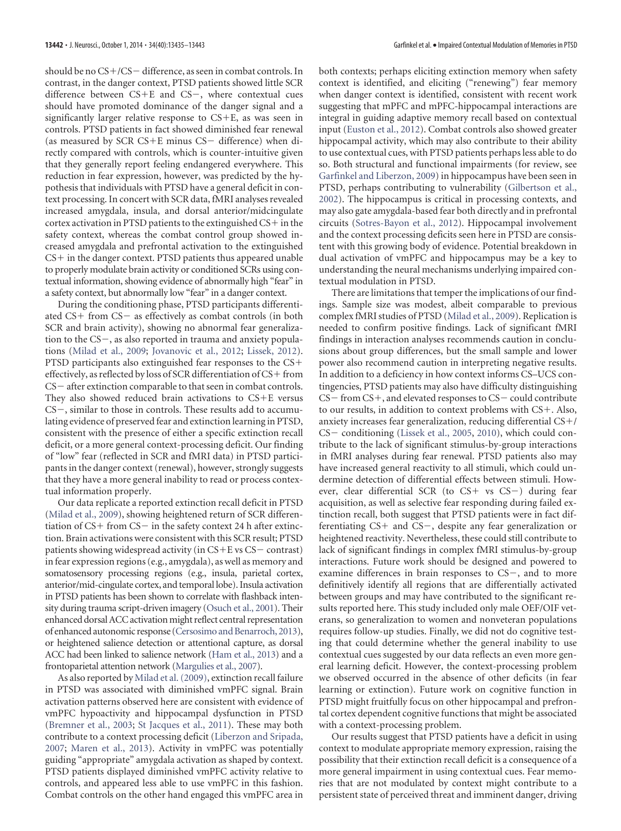should be no CS+/CS – difference, as seen in combat controls. In contrast, in the danger context, PTSD patients showed little SCR difference between  $CS+E$  and  $CS-$ , where contextual cues should have promoted dominance of the danger signal and a significantly larger relative response to CS-E, as was seen in controls. PTSD patients in fact showed diminished fear renewal (as measured by SCR CS+E minus  $CS-$  difference) when directly compared with controls, which is counter-intuitive given that they generally report feeling endangered everywhere. This reduction in fear expression, however, was predicted by the hypothesis that individuals with PTSD have a general deficit in context processing. In concert with SCR data, fMRI analyses revealed increased amygdala, insula, and dorsal anterior/midcingulate cortex activation in PTSD patients to the extinguished CS+ in the safety context, whereas the combat control group showed increased amygdala and prefrontal activation to the extinguished CS- in the danger context. PTSD patients thus appeared unable to properly modulate brain activity or conditioned SCRs using contextual information, showing evidence of abnormally high "fear" in a safety context, but abnormally low "fear" in a danger context.

During the conditioning phase, PTSD participants differentiated CS+ from CS– as effectively as combat controls (in both SCR and brain activity), showing no abnormal fear generalization to the  $CS$ , as also reported in trauma and anxiety populations [\(Milad et al., 2009;](#page-9-3) [Jovanovic et al., 2012;](#page-9-14) [Lissek, 2012\)](#page-9-23). PTSD participants also extinguished fear responses to the CS+ effectively, as reflected by loss of SCR differentiation of CS+ from  $CS$  – after extinction comparable to that seen in combat controls. They also showed reduced brain activations to CS-E versus  $CS$ , similar to those in controls. These results add to accumulating evidence of preserved fear and extinction learning in PTSD, consistent with the presence of either a specific extinction recall deficit, or a more general context-processing deficit. Our finding of "low" fear (reflected in SCR and fMRI data) in PTSD participants in the danger context (renewal), however, strongly suggests that they have a more general inability to read or process contextual information properly.

Our data replicate a reported extinction recall deficit in PTSD [\(Milad et al., 2009\)](#page-9-3), showing heightened return of SCR differentiation of  $CS+$  from  $CS-$  in the safety context 24 h after extinction. Brain activations were consistent with this SCR result; PTSD patients showing widespread activity (in CS+E vs CS – contrast) in fear expression regions (e.g., amygdala), as well as memory and somatosensory processing regions (e.g., insula, parietal cortex, anterior/mid-cingulate cortex, and temporal lobe). Insula activation in PTSD patients has been shown to correlate with flashback intensity during trauma script-driven imagery [\(Osuch et al., 2001\)](#page-9-24). Their enhanced dorsal ACC activation might reflect central representation of enhanced autonomic response [\(Cersosimo and Benarroch, 2013\)](#page-9-25), or heightened salience detection or attentional capture, as dorsal ACC had been linked to salience network [\(Ham et al., 2013\)](#page-9-26) and a frontoparietal attention network [\(Margulies et al., 2007\)](#page-9-27).

As also reported by [Milad et al. \(2009\),](#page-9-3) extinction recall failure in PTSD was associated with diminished vmPFC signal. Brain activation patterns observed here are consistent with evidence of vmPFC hypoactivity and hippocampal dysfunction in PTSD [\(Bremner et al., 2003;](#page-9-28) [St Jacques et al., 2011\)](#page-9-11). These may both contribute to a context processing deficit [\(Liberzon and Sripada,](#page-9-15) [2007;](#page-9-15) [Maren et al., 2013\)](#page-9-4). Activity in vmPFC was potentially guiding "appropriate" amygdala activation as shaped by context. PTSD patients displayed diminished vmPFC activity relative to controls, and appeared less able to use vmPFC in this fashion. Combat controls on the other hand engaged this vmPFC area in

both contexts; perhaps eliciting extinction memory when safety context is identified, and eliciting ("renewing") fear memory when danger context is identified, consistent with recent work suggesting that mPFC and mPFC-hippocampal interactions are integral in guiding adaptive memory recall based on contextual input [\(Euston et al., 2012\)](#page-9-29). Combat controls also showed greater hippocampal activity, which may also contribute to their ability to use contextual cues, with PTSD patients perhaps less able to do so. Both structural and functional impairments (for review, see [Garfinkel and Liberzon, 2009\)](#page-9-30) in hippocampus have been seen in PTSD, perhaps contributing to vulnerability [\(Gilbertson et al.,](#page-9-31) [2002\)](#page-9-31). The hippocampus is critical in processing contexts, and may also gate amygdala-based fear both directly and in prefrontal circuits [\(Sotres-Bayon et al., 2012\)](#page-9-32). Hippocampal involvement and the context processing deficits seen here in PTSD are consistent with this growing body of evidence. Potential breakdown in dual activation of vmPFC and hippocampus may be a key to understanding the neural mechanisms underlying impaired contextual modulation in PTSD.

There are limitations that temper the implications of our findings. Sample size was modest, albeit comparable to previous complex fMRI studies of PTSD [\(Milad et al., 2009\)](#page-9-3). Replication is needed to confirm positive findings. Lack of significant fMRI findings in interaction analyses recommends caution in conclusions about group differences, but the small sample and lower power also recommend caution in interpreting negative results. In addition to a deficiency in how context informs CS–UCS contingencies, PTSD patients may also have difficulty distinguishing  $CS$  – from  $CS$  +, and elevated responses to  $CS$  – could contribute to our results, in addition to context problems with CS+. Also, anxiety increases fear generalization, reducing differential CS-/ CS- conditioning [\(Lissek et al., 2005,](#page-9-33) [2010\)](#page-9-34), which could contribute to the lack of significant stimulus-by-group interactions in fMRI analyses during fear renewal. PTSD patients also may have increased general reactivity to all stimuli, which could undermine detection of differential effects between stimuli. However, clear differential SCR (to CS+ vs CS-) during fear acquisition, as well as selective fear responding during failed extinction recall, both suggest that PTSD patients were in fact differentiating CS+ and CS-, despite any fear generalization or heightened reactivity. Nevertheless, these could still contribute to lack of significant findings in complex fMRI stimulus-by-group interactions. Future work should be designed and powered to examine differences in brain responses to  $CS$ , and to more definitively identify all regions that are differentially activated between groups and may have contributed to the significant results reported here. This study included only male OEF/OIF veterans, so generalization to women and nonveteran populations requires follow-up studies. Finally, we did not do cognitive testing that could determine whether the general inability to use contextual cues suggested by our data reflects an even more general learning deficit. However, the context-processing problem we observed occurred in the absence of other deficits (in fear learning or extinction). Future work on cognitive function in PTSD might fruitfully focus on other hippocampal and prefrontal cortex dependent cognitive functions that might be associated with a context-processing problem.

Our results suggest that PTSD patients have a deficit in using context to modulate appropriate memory expression, raising the possibility that their extinction recall deficit is a consequence of a more general impairment in using contextual cues. Fear memories that are not modulated by context might contribute to a persistent state of perceived threat and imminent danger, driving